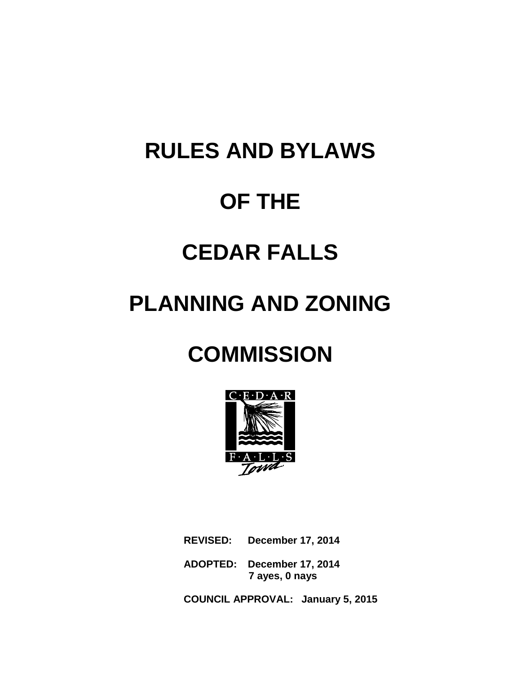# **RULES AND BYLAWS OF THE CEDAR FALLS**

## **PLANNING AND ZONING**

## **COMMISSION**



**REVISED: December 17, 2014**

**ADOPTED: December 17, 2014 7 ayes, 0 nays**

**COUNCIL APPROVAL: January 5, 2015**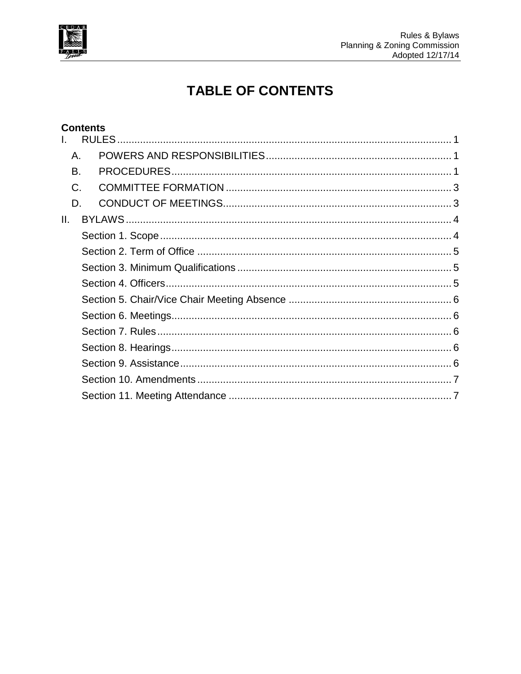

### **TABLE OF CONTENTS**

|       | <b>Contents</b> |  |
|-------|-----------------|--|
|       |                 |  |
| Α.    |                 |  |
| B.    |                 |  |
| $C$ . |                 |  |
| D.    |                 |  |
| II.   |                 |  |
|       |                 |  |
|       |                 |  |
|       |                 |  |
|       |                 |  |
|       |                 |  |
|       |                 |  |
|       |                 |  |
|       |                 |  |
|       |                 |  |
|       |                 |  |
|       |                 |  |
|       |                 |  |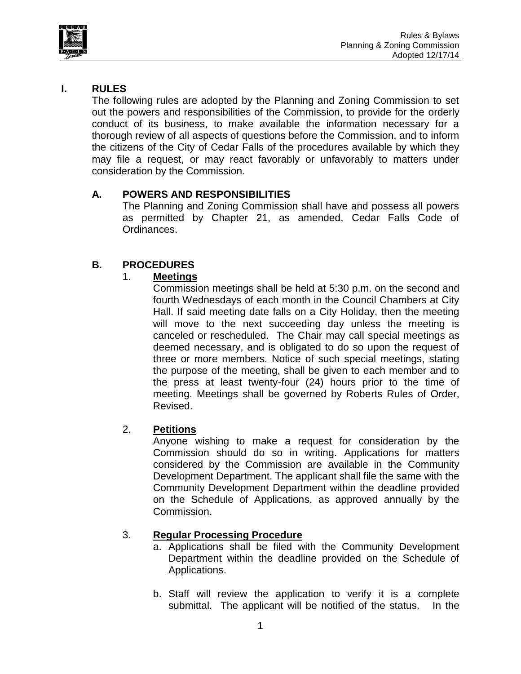



#### <span id="page-2-0"></span>**I. RULES**

The following rules are adopted by the Planning and Zoning Commission to set out the powers and responsibilities of the Commission, to provide for the orderly conduct of its business, to make available the information necessary for a thorough review of all aspects of questions before the Commission, and to inform the citizens of the City of Cedar Falls of the procedures available by which they may file a request, or may react favorably or unfavorably to matters under consideration by the Commission.

#### <span id="page-2-1"></span>**A. POWERS AND RESPONSIBILITIES**

The Planning and Zoning Commission shall have and possess all powers as permitted by Chapter 21, as amended, Cedar Falls Code of Ordinances.

#### <span id="page-2-2"></span>**B. PROCEDURES**

#### 1. **Meetings**

Commission meetings shall be held at 5:30 p.m. on the second and fourth Wednesdays of each month in the Council Chambers at City Hall. If said meeting date falls on a City Holiday, then the meeting will move to the next succeeding day unless the meeting is canceled or rescheduled. The Chair may call special meetings as deemed necessary, and is obligated to do so upon the request of three or more members. Notice of such special meetings, stating the purpose of the meeting, shall be given to each member and to the press at least twenty-four (24) hours prior to the time of meeting. Meetings shall be governed by Roberts Rules of Order, Revised.

#### 2. **Petitions**

Anyone wishing to make a request for consideration by the Commission should do so in writing. Applications for matters considered by the Commission are available in the Community Development Department. The applicant shall file the same with the Community Development Department within the deadline provided on the Schedule of Applications, as approved annually by the Commission.

#### 3. **Regular Processing Procedure**

- a. Applications shall be filed with the Community Development Department within the deadline provided on the Schedule of Applications.
- b. Staff will review the application to verify it is a complete submittal. The applicant will be notified of the status. In the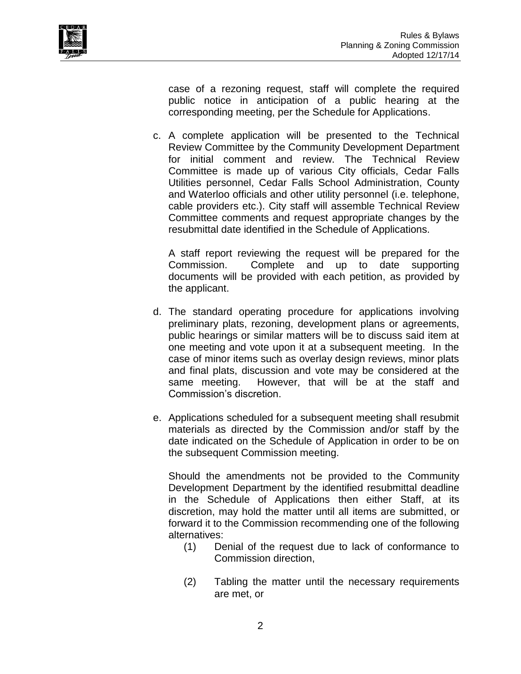

case of a rezoning request, staff will complete the required public notice in anticipation of a public hearing at the corresponding meeting, per the Schedule for Applications.

c. A complete application will be presented to the Technical Review Committee by the Community Development Department for initial comment and review. The Technical Review Committee is made up of various City officials, Cedar Falls Utilities personnel, Cedar Falls School Administration, County and Waterloo officials and other utility personnel (i.e. telephone, cable providers etc.). City staff will assemble Technical Review Committee comments and request appropriate changes by the resubmittal date identified in the Schedule of Applications.

A staff report reviewing the request will be prepared for the Commission. Complete and up to date supporting documents will be provided with each petition, as provided by the applicant.

- d. The standard operating procedure for applications involving preliminary plats, rezoning, development plans or agreements, public hearings or similar matters will be to discuss said item at one meeting and vote upon it at a subsequent meeting. In the case of minor items such as overlay design reviews, minor plats and final plats, discussion and vote may be considered at the same meeting. However, that will be at the staff and Commission's discretion.
- e. Applications scheduled for a subsequent meeting shall resubmit materials as directed by the Commission and/or staff by the date indicated on the Schedule of Application in order to be on the subsequent Commission meeting.

Should the amendments not be provided to the Community Development Department by the identified resubmittal deadline in the Schedule of Applications then either Staff, at its discretion, may hold the matter until all items are submitted, or forward it to the Commission recommending one of the following alternatives:

- (1) Denial of the request due to lack of conformance to Commission direction,
- (2) Tabling the matter until the necessary requirements are met, or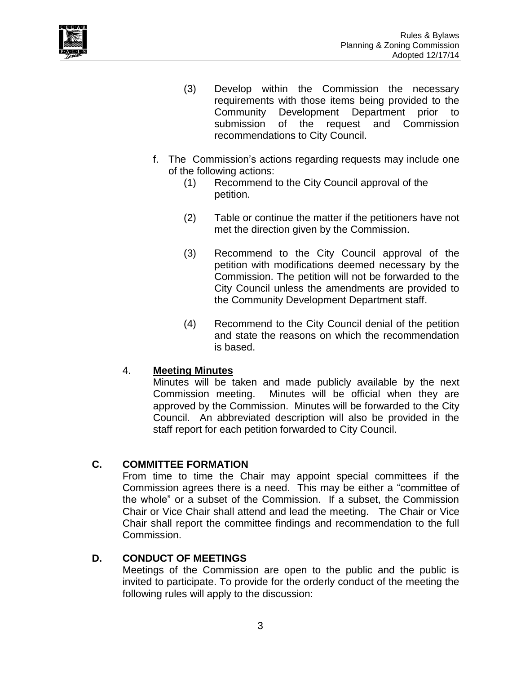

- (3) Develop within the Commission the necessary requirements with those items being provided to the Community Development Department prior to submission of the request and Commission recommendations to City Council.
- f. The Commission's actions regarding requests may include one of the following actions:
	- (1) Recommend to the City Council approval of the petition.
	- (2) Table or continue the matter if the petitioners have not met the direction given by the Commission.
	- (3) Recommend to the City Council approval of the petition with modifications deemed necessary by the Commission. The petition will not be forwarded to the City Council unless the amendments are provided to the Community Development Department staff.
	- (4) Recommend to the City Council denial of the petition and state the reasons on which the recommendation is based.

#### 4. **Meeting Minutes**

Minutes will be taken and made publicly available by the next Commission meeting. Minutes will be official when they are approved by the Commission. Minutes will be forwarded to the City Council. An abbreviated description will also be provided in the staff report for each petition forwarded to City Council.

#### <span id="page-4-0"></span>**C. COMMITTEE FORMATION**

From time to time the Chair may appoint special committees if the Commission agrees there is a need. This may be either a "committee of the whole" or a subset of the Commission. If a subset, the Commission Chair or Vice Chair shall attend and lead the meeting. The Chair or Vice Chair shall report the committee findings and recommendation to the full Commission.

#### <span id="page-4-1"></span>**D. CONDUCT OF MEETINGS**

Meetings of the Commission are open to the public and the public is invited to participate. To provide for the orderly conduct of the meeting the following rules will apply to the discussion: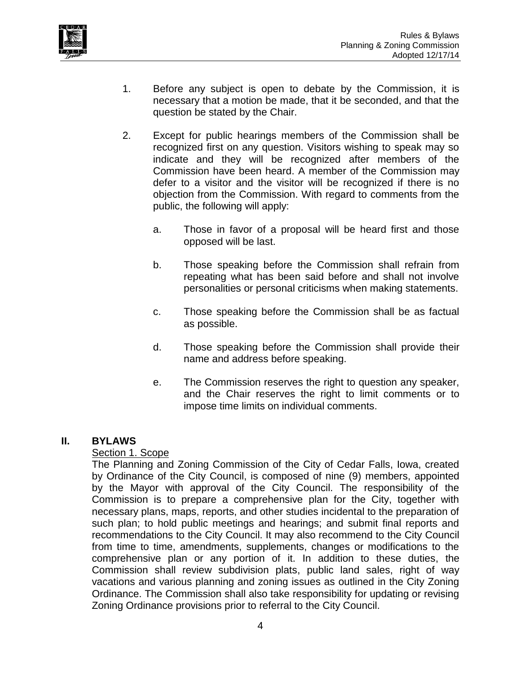

- 1. Before any subject is open to debate by the Commission, it is necessary that a motion be made, that it be seconded, and that the question be stated by the Chair.
- 2. Except for public hearings members of the Commission shall be recognized first on any question. Visitors wishing to speak may so indicate and they will be recognized after members of the Commission have been heard. A member of the Commission may defer to a visitor and the visitor will be recognized if there is no objection from the Commission. With regard to comments from the public, the following will apply:
	- a. Those in favor of a proposal will be heard first and those opposed will be last.
	- b. Those speaking before the Commission shall refrain from repeating what has been said before and shall not involve personalities or personal criticisms when making statements.
	- c. Those speaking before the Commission shall be as factual as possible.
	- d. Those speaking before the Commission shall provide their name and address before speaking.
	- e. The Commission reserves the right to question any speaker, and the Chair reserves the right to limit comments or to impose time limits on individual comments.

#### <span id="page-5-1"></span><span id="page-5-0"></span>**II. BYLAWS**

#### Section 1. Scope

The Planning and Zoning Commission of the City of Cedar Falls, Iowa, created by Ordinance of the City Council, is composed of nine (9) members, appointed by the Mayor with approval of the City Council. The responsibility of the Commission is to prepare a comprehensive plan for the City, together with necessary plans, maps, reports, and other studies incidental to the preparation of such plan; to hold public meetings and hearings; and submit final reports and recommendations to the City Council. It may also recommend to the City Council from time to time, amendments, supplements, changes or modifications to the comprehensive plan or any portion of it. In addition to these duties, the Commission shall review subdivision plats, public land sales, right of way vacations and various planning and zoning issues as outlined in the City Zoning Ordinance. The Commission shall also take responsibility for updating or revising Zoning Ordinance provisions prior to referral to the City Council.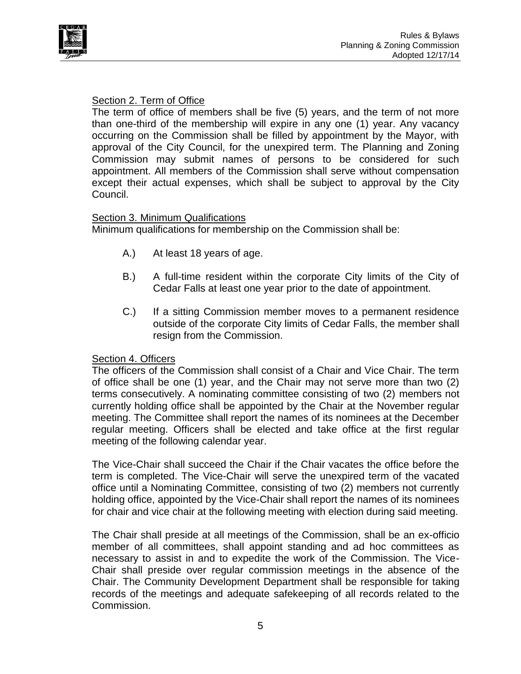



#### <span id="page-6-0"></span>Section 2. Term of Office

The term of office of members shall be five (5) years, and the term of not more than one-third of the membership will expire in any one (1) year. Any vacancy occurring on the Commission shall be filled by appointment by the Mayor, with approval of the City Council, for the unexpired term. The Planning and Zoning Commission may submit names of persons to be considered for such appointment. All members of the Commission shall serve without compensation except their actual expenses, which shall be subject to approval by the City Council.

#### <span id="page-6-1"></span>Section 3. Minimum Qualifications

Minimum qualifications for membership on the Commission shall be:

- A.) At least 18 years of age.
- B.) A full-time resident within the corporate City limits of the City of Cedar Falls at least one year prior to the date of appointment.
- C.) If a sitting Commission member moves to a permanent residence outside of the corporate City limits of Cedar Falls, the member shall resign from the Commission.

#### <span id="page-6-2"></span>Section 4. Officers

The officers of the Commission shall consist of a Chair and Vice Chair. The term of office shall be one (1) year, and the Chair may not serve more than two (2) terms consecutively. A nominating committee consisting of two (2) members not currently holding office shall be appointed by the Chair at the November regular meeting. The Committee shall report the names of its nominees at the December regular meeting. Officers shall be elected and take office at the first regular meeting of the following calendar year.

The Vice-Chair shall succeed the Chair if the Chair vacates the office before the term is completed. The Vice-Chair will serve the unexpired term of the vacated office until a Nominating Committee, consisting of two (2) members not currently holding office, appointed by the Vice-Chair shall report the names of its nominees for chair and vice chair at the following meeting with election during said meeting.

The Chair shall preside at all meetings of the Commission, shall be an ex-officio member of all committees, shall appoint standing and ad hoc committees as necessary to assist in and to expedite the work of the Commission. The Vice-Chair shall preside over regular commission meetings in the absence of the Chair. The Community Development Department shall be responsible for taking records of the meetings and adequate safekeeping of all records related to the Commission.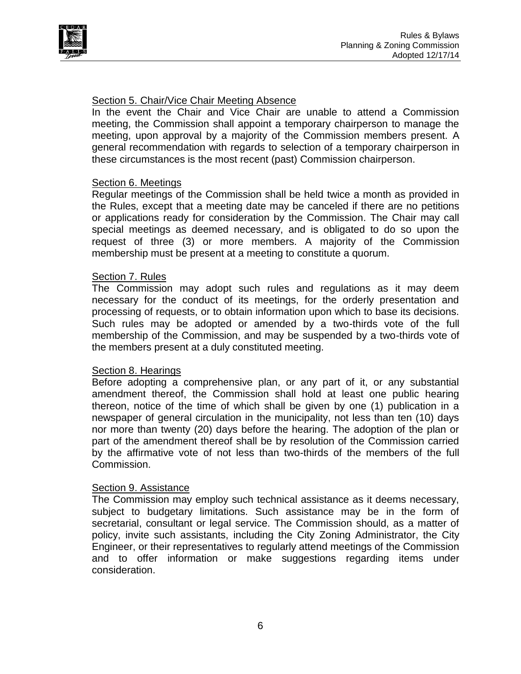

#### <span id="page-7-0"></span>Section 5. Chair/Vice Chair Meeting Absence

In the event the Chair and Vice Chair are unable to attend a Commission meeting, the Commission shall appoint a temporary chairperson to manage the meeting, upon approval by a majority of the Commission members present. A general recommendation with regards to selection of a temporary chairperson in these circumstances is the most recent (past) Commission chairperson.

#### <span id="page-7-1"></span>Section 6. Meetings

Regular meetings of the Commission shall be held twice a month as provided in the Rules, except that a meeting date may be canceled if there are no petitions or applications ready for consideration by the Commission. The Chair may call special meetings as deemed necessary, and is obligated to do so upon the request of three (3) or more members. A majority of the Commission membership must be present at a meeting to constitute a quorum.

#### <span id="page-7-2"></span>Section 7. Rules

The Commission may adopt such rules and regulations as it may deem necessary for the conduct of its meetings, for the orderly presentation and processing of requests, or to obtain information upon which to base its decisions. Such rules may be adopted or amended by a two-thirds vote of the full membership of the Commission, and may be suspended by a two-thirds vote of the members present at a duly constituted meeting.

#### <span id="page-7-3"></span>Section 8. Hearings

Before adopting a comprehensive plan, or any part of it, or any substantial amendment thereof, the Commission shall hold at least one public hearing thereon, notice of the time of which shall be given by one (1) publication in a newspaper of general circulation in the municipality, not less than ten (10) days nor more than twenty (20) days before the hearing. The adoption of the plan or part of the amendment thereof shall be by resolution of the Commission carried by the affirmative vote of not less than two-thirds of the members of the full Commission.

#### <span id="page-7-4"></span>Section 9. Assistance

The Commission may employ such technical assistance as it deems necessary, subject to budgetary limitations. Such assistance may be in the form of secretarial, consultant or legal service. The Commission should, as a matter of policy, invite such assistants, including the City Zoning Administrator, the City Engineer, or their representatives to regularly attend meetings of the Commission and to offer information or make suggestions regarding items under consideration.